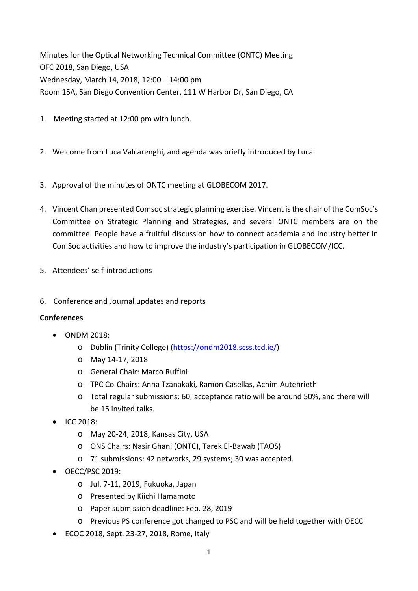Minutes for the Optical Networking Technical Committee (ONTC) Meeting OFC 2018, San Diego, USA Wednesday, March 14, 2018, 12:00 – 14:00 pm Room 15A, San Diego Convention Center, 111 W Harbor Dr, San Diego, CA

- 1. Meeting started at 12:00 pm with lunch.
- 2. Welcome from Luca Valcarenghi, and agenda was briefly introduced by Luca.
- 3. Approval of the minutes of ONTC meeting at GLOBECOM 2017.
- 4. Vincent Chan presented Comsoc strategic planning exercise. Vincent isthe chair of the ComSoc's Committee on Strategic Planning and Strategies, and several ONTC members are on the committee. People have a fruitful discussion how to connect academia and industry better in ComSoc activities and how to improve the industry's participation in GLOBECOM/ICC.
- 5. Attendees' self‐introductions
- 6. Conference and Journal updates and reports

## **Conferences**

- ONDM 2018:
	- o Dublin (Trinity College) (https://ondm2018.scss.tcd.ie/)
	- o May 14‐17, 2018
	- o General Chair: Marco Ruffini
	- o TPC Co‐Chairs: Anna Tzanakaki, Ramon Casellas, Achim Autenrieth
	- o Total regular submissions: 60, acceptance ratio will be around 50%, and there will be 15 invited talks.
- $\bullet$  ICC 2018:
	- o May 20‐24, 2018, Kansas City, USA
	- o ONS Chairs: Nasir Ghani (ONTC), Tarek El‐Bawab (TAOS)
	- o 71 submissions: 42 networks, 29 systems; 30 was accepted.
- OECC/PSC 2019:
	- o Jul. 7‐11, 2019, Fukuoka, Japan
	- o Presented by Kiichi Hamamoto
	- o Paper submission deadline: Feb. 28, 2019
	- o Previous PS conference got changed to PSC and will be held together with OECC
- ECOC 2018, Sept. 23-27, 2018, Rome, Italy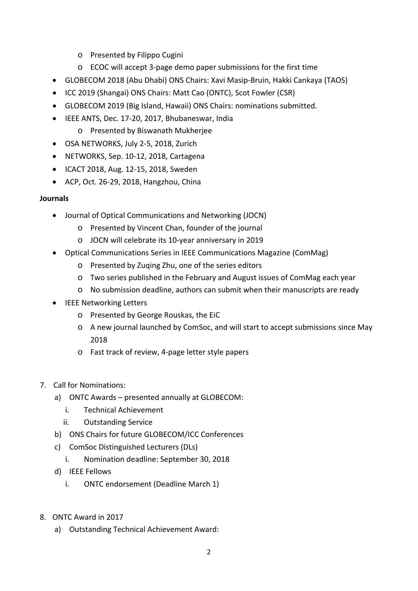- o Presented by Filippo Cugini
- o ECOC will accept 3‐page demo paper submissions for the first time
- GLOBECOM 2018 (Abu Dhabi) ONS Chairs: Xavi Masip‐Bruin, Hakki Cankaya (TAOS)
- ICC 2019 (Shangai) ONS Chairs: Matt Cao (ONTC), Scot Fowler (CSR)
- GLOBECOM 2019 (Big Island, Hawaii) ONS Chairs: nominations submitted.
- IEEE ANTS, Dec. 17‐20, 2017, Bhubaneswar, India
	- o Presented by Biswanath Mukherjee
- OSA NETWORKS, July 2-5, 2018, Zurich
- NETWORKS, Sep. 10‐12, 2018, Cartagena
- ICACT 2018, Aug. 12-15, 2018, Sweden
- ACP, Oct. 26-29, 2018, Hangzhou, China

## **Journals**

- Journal of Optical Communications and Networking (JOCN)
	- o Presented by Vincent Chan, founder of the journal
	- o JOCN will celebrate its 10‐year anniversary in 2019
- Optical Communications Series in IEEE Communications Magazine (ComMag)
	- o Presented by Zuqing Zhu, one of the series editors
	- o Two series published in the February and August issues of ComMag each year
	- o No submission deadline, authors can submit when their manuscripts are ready
- IEEE Networking Letters
	- o Presented by George Rouskas, the EiC
	- o A new journal launched by ComSoc, and will start to accept submissions since May 2018
	- o Fast track of review, 4‐page letter style papers
- 7. Call for Nominations:
	- a) ONTC Awards presented annually at GLOBECOM:
		- i. Technical Achievement
		- ii. Outstanding Service
	- b) ONS Chairs for future GLOBECOM/ICC Conferences
	- c) ComSoc Distinguished Lecturers (DLs)
		- i. Nomination deadline: September 30, 2018
	- d) IEEE Fellows
		- i. ONTC endorsement (Deadline March 1)
- 8. ONTC Award in 2017
	- a) Outstanding Technical Achievement Award: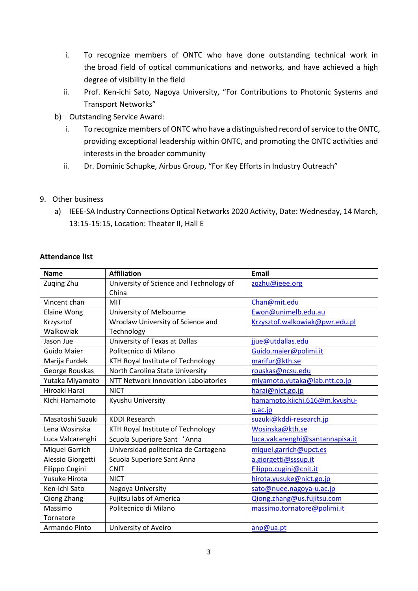- i. To recognize members of ONTC who have done outstanding technical work in the broad field of optical communications and networks, and have achieved a high degree of visibility in the field
- ii. Prof. Ken-ichi Sato, Nagoya University, "For Contributions to Photonic Systems and Transport Networks"
- b) Outstanding Service Award:
	- i. To recognize members of ONTC who have a distinguished record of service to the ONTC, providing exceptional leadership within ONTC, and promoting the ONTC activities and interests in the broader community
	- ii. Dr. Dominic Schupke, Airbus Group, "For Key Efforts in Industry Outreach"

## 9. Other business

a) IEEE‐SA Industry Connections Optical Networks 2020 Activity, Date: Wednesday, 14 March, 13:15‐15:15, Location: Theater II, Hall E

## **Attendance list**

| <b>Name</b>        | <b>Affiliation</b>                      | <b>Email</b>                     |
|--------------------|-----------------------------------------|----------------------------------|
| Zuqing Zhu         | University of Science and Technology of | zgzhu@ieee.org                   |
|                    | China                                   |                                  |
| Vincent chan       | <b>MIT</b>                              | Chan@mit.edu                     |
| <b>Elaine Wong</b> | University of Melbourne                 | Ewon@unimelb.edu.au              |
| Krzysztof          | Wroclaw University of Science and       | Krzysztof.walkowiak@pwr.edu.pl   |
| Walkowiak          | Technology                              |                                  |
| Jason Jue          | University of Texas at Dallas           | jjue@utdallas.edu                |
| <b>Guido Maier</b> | Politecnico di Milano                   | Guido.maier@polimi.it            |
| Marija Furdek      | KTH Royal Institute of Technology       | marifur@kth.se                   |
| George Rouskas     | North Carolina State University         | rouskas@ncsu.edu                 |
| Yutaka Miyamoto    | NTT Network Innovation Labolatories     | miyamoto.yutaka@lab.ntt.co.jp    |
| Hiroaki Harai      | <b>NICT</b>                             | harai@nict.go.jp                 |
| Klchi Hamamoto     | Kyushu University                       | hamamoto.kiichi.616@m.kyushu-    |
|                    |                                         | u.ac.jp                          |
| Masatoshi Suzuki   | <b>KDDI Research</b>                    | suzuki@kddi-research.jp          |
| Lena Wosinska      | KTH Royal Institute of Technology       | Wosinska@kth.se                  |
| Luca Valcarenghi   | Scuola Superiore Sant 'Anna             | luca.valcarenghi@santannapisa.it |
| Miquel Garrich     | Universidad politecnica de Cartagena    | miquel.garrich@upct.es           |
| Alessio Giorgetti  | Scuola Superiore Sant Anna              | a.giorgetti@sssup.it             |
| Filippo Cugini     | <b>CNIT</b>                             | Filippo.cugini@cnit.it           |
| Yusuke Hirota      | <b>NICT</b>                             | hirota.yusuke@nict.go.jp         |
| Ken-ichi Sato      | Nagoya University                       | sato@nuee.nagoya-u.ac.jp         |
| Qiong Zhang        | Fujitsu labs of America                 | Qiong.zhang@us.fujitsu.com       |
| Massimo            | Politecnico di Milano                   | massimo.tornatore@polimi.it      |
| Tornatore          |                                         |                                  |
| Armando Pinto      | University of Aveiro                    | anp@ua.pt                        |